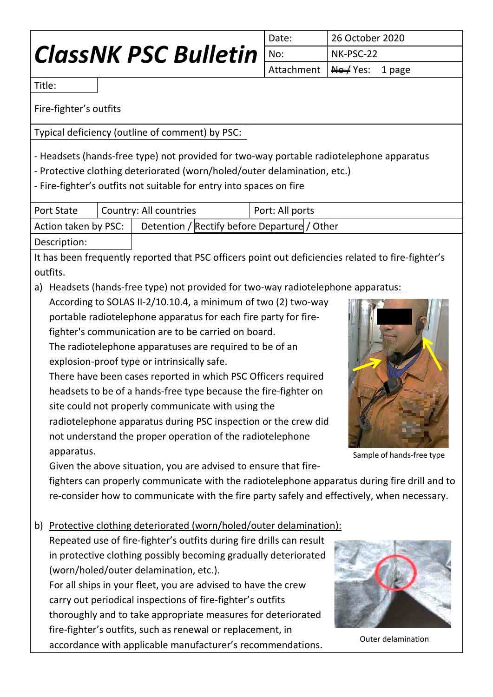# *ClassNK PSC Bulletin*

| Date: | 26 October 2020               |  |  |  |
|-------|-------------------------------|--|--|--|
| No:   | NK-PSC-22                     |  |  |  |
|       | Attachment   No / Yes: 1 page |  |  |  |

Title:

Fire-fighter's outfits

Typical deficiency (outline of comment) by PSC:

- Headsets (hands-free type) not provided for two-way portable radiotelephone apparatus

- Protective clothing deteriorated (worn/holed/outer delamination, etc.)

- Fire-fighter's outfits not suitable for entry into spaces on fire

| <b>Port State</b>    | Country: All countries |                                              |  | Port: All ports |
|----------------------|------------------------|----------------------------------------------|--|-----------------|
| Action taken by PSC: |                        | Detention / Rectify before Departure / Other |  |                 |
| Description:         |                        |                                              |  |                 |

It has been frequently reported that PSC officers point out deficiencies related to fire-fighter's outfits.

a) Headsets (hands-free type) not provided for two-way radiotelephone apparatus:

According to SOLAS II-2/10.10.4, a minimum of two (2) two-way portable radiotelephone apparatus for each fire party for firefighter's communication are to be carried on board.

The radiotelephone apparatuses are required to be of an explosion-proof type or intrinsically safe.

There have been cases reported in which PSC Officers required headsets to be of a hands-free type because the fire-fighter on site could not properly communicate with using the radiotelephone apparatus during PSC inspection or the crew did not understand the proper operation of the radiotelephone apparatus.



Sample of hands-free type

Given the above situation, you are advised to ensure that fire-

fighters can properly communicate with the radiotelephone apparatus during fire drill and to re-consider how to communicate with the fire party safely and effectively, when necessary.

b) Protective clothing deteriorated (worn/holed/outer delamination):

Repeated use of fire-fighter's outfits during fire drills can result in protective clothing possibly becoming gradually deteriorated (worn/holed/outer delamination, etc.). For all ships in your fleet, you are advised to have the crew carry out periodical inspections of fire-fighter's outfits thoroughly and to take appropriate measures for deteriorated fire-fighter's outfits, such as renewal or replacement, in accordance with applicable manufacturer's recommendations. Outer delamination

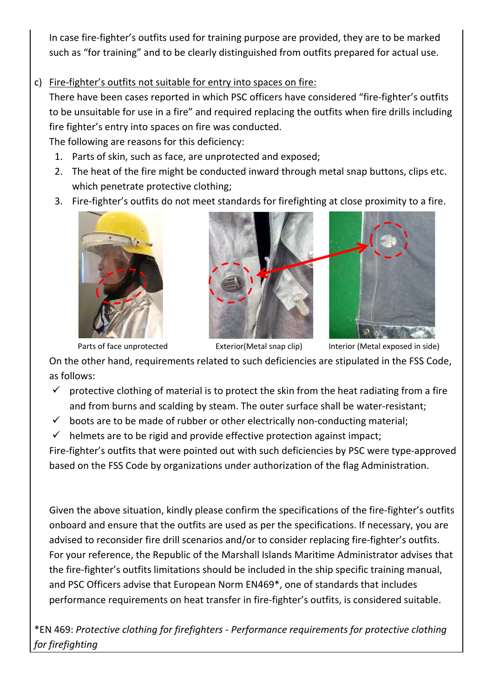In case fire-fighter's outfits used for training purpose are provided, they are to be marked such as "for training" and to be clearly distinguished from outfits prepared for actual use.

c) Fire-fighter's outfits not suitable for entry into spaces on fire:

There have been cases reported in which PSC officers have considered "fire-fighter's outfits to be unsuitable for use in a fire" and required replacing the outfits when fire drills including fire fighter's entry into spaces on fire was conducted.

The following are reasons for this deficiency:

- 1. Parts of skin, such as face, are unprotected and exposed;
- 2. The heat of the fire might be conducted inward through metal snap buttons, clips etc. which penetrate protective clothing;
- 3. Fire-fighter's outfits do not meet standards for firefighting at close proximity to a fire.









Parts of face unprotected Exterior(Metal snap clip) Interior (Metal exposed in side)

On the other hand, requirements related to such deficiencies are stipulated in the FSS Code, as follows:

- $\checkmark$  protective clothing of material is to protect the skin from the heat radiating from a fire and from burns and scalding by steam. The outer surface shall be water-resistant;
- $\checkmark$  boots are to be made of rubber or other electrically non-conducting material;
- $\checkmark$  helmets are to be rigid and provide effective protection against impact;

Fire-fighter's outfits that were pointed out with such deficiencies by PSC were type-approved based on the FSS Code by organizations under authorization of the flag Administration.

Given the above situation, kindly please confirm the specifications of the fire-fighter's outfits onboard and ensure that the outfits are used as per the specifications. If necessary, you are advised to reconsider fire drill scenarios and/or to consider replacing fire-fighter's outfits. For your reference, the Republic of the Marshall Islands Maritime Administrator advises that the fire-fighter's outfits limitations should be included in the ship specific training manual, and PSC Officers advise that European Norm EN469\*, one of standards that includes performance requirements on heat transfer in fire-fighter's outfits, is considered suitable.

\*EN 469: *Protective clothing for firefighters - Performance requirements for protective clothing for firefighting*